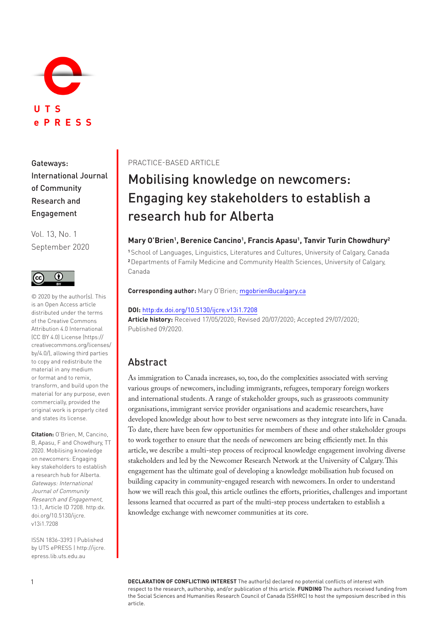

Gateways: International Journal of Community Research and Engagement

Vol. 13, No. 1 September 2020



© 2020 by the author(s). This is an Open Access article distributed under the terms of the Creative Commons Attribution 4.0 International (CC BY 4.0) License ([https://](https://creativecommons.org/licenses/by/4.0/) [creativecommons.org/licenses/](https://creativecommons.org/licenses/by/4.0/) [by/4.0/](https://creativecommons.org/licenses/by/4.0/)), allowing third parties to copy and redistribute the material in any medium or format and to remix, transform, and build upon the material for any purpose, even commercially, provided the original work is properly cited and states its license.

**Citation:** O'Brien, M, Cancino, B, Apasu, F and Chowdhury, TT 2020. Mobilising knowledge on newcomers: Engaging key stakeholders to establish a research hub for Alberta. Gateways: International Journal of Community Research and Engagement, 13:1, Article ID 7208. [http:dx.](http:dx.doi.org/10.5130/ijcre.v13i1.7208) [doi.org/10.5130/ijcre.](http:dx.doi.org/10.5130/ijcre.v13i1.7208) [v13i1.7208](http:dx.doi.org/10.5130/ijcre.v13i1.7208)

ISSN 1836-3393 | Published by UTS ePRESS | [http://ijcre.](http://ijcre.epress.lib.uts.edu.au) [epress.lib.uts.edu.au](http://ijcre.epress.lib.uts.edu.au)

### PRACTICE-BASED ARTICLE

# Mobilising knowledge on newcomers: Engaging key stakeholders to establish a research hub for Alberta

### Mary O'Brien<sup>1</sup>, Berenice Cancino<sup>1</sup>, Francis Apasu<sup>1</sup>, Tanvir Turin Chowdhury<sup>2</sup>

**<sup>1</sup>**School of Languages, Linguistics, Literatures and Cultures, University of Calgary, Canada **<sup>2</sup>**Departments of Family Medicine and Community Health Sciences, University of Calgary, Canada

#### **Corresponding author:** Mary O'Brien; [mgobrien@ucalgary.ca](mailto:mgobrien@ucalgary.ca)

#### **DOI:** <http:dx.doi.org/10.5130/ijcre.v13i1.7208>

**Article history:** Received 17/05/2020; Revised 20/07/2020; Accepted 29/07/2020; Published 09/2020.

### Abstract

As immigration to Canada increases, so, too, do the complexities associated with serving various groups of newcomers, including immigrants, refugees, temporary foreign workers and international students. A range of stakeholder groups, such as grassroots community organisations, immigrant service provider organisations and academic researchers, have developed knowledge about how to best serve newcomers as they integrate into life in Canada. To date, there have been few opportunities for members of these and other stakeholder groups to work together to ensure that the needs of newcomers are being efficiently met. In this article, we describe a multi-step process of reciprocal knowledge engagement involving diverse stakeholders and led by the Newcomer Research Network at the University of Calgary. This engagement has the ultimate goal of developing a knowledge mobilisation hub focused on building capacity in community-engaged research with newcomers. In order to understand how we will reach this goal, this article outlines the efforts, priorities, challenges and important lessons learned that occurred as part of the multi-step process undertaken to establish a knowledge exchange with newcomer communities at its core.

**DECLARATION OF CONFLICTING INTEREST** The author(s) declared no potential conflicts of interest with respect to the research, authorship, and/or publication of this article. **FUNDING** The authors received funding from the Social Sciences and Humanities Research Council of Canada (SSHRC) to host the symposium described in this article.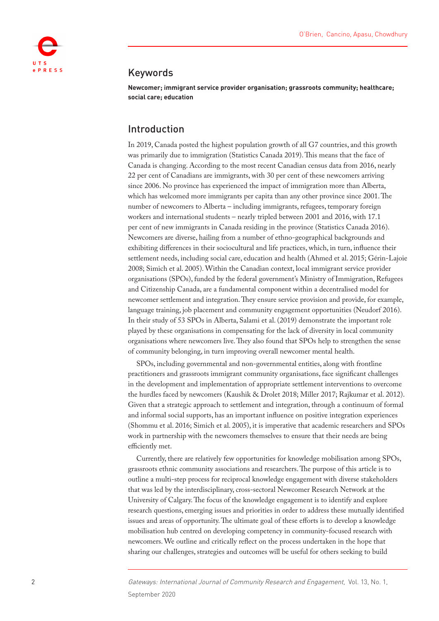

### Keywords

**Newcomer; immigrant service provider organisation; grassroots community; healthcare; social care; education**

### Introduction

In 2019, Canada posted the highest population growth of all G7 countries, and this growth was primarily due to immigration [\(Statistics Canada 2019\)](#page-14-0). This means that the face of Canada is changing. According to the most recent Canadian census data from 2016, nearly 22 per cent of Canadians are immigrants, with 30 per cent of these newcomers arriving since 2006. No province has experienced the impact of immigration more than Alberta, which has welcomed more immigrants per capita than any other province since 2001. The number of newcomers to Alberta – including immigrants, refugees, temporary foreign workers and international students – nearly tripled between 2001 and 2016, with 17.1 per cent of new immigrants in Canada residing in the province ([Statistics Canada 2016\)](#page-14-1). Newcomers are diverse, hailing from a number of ethno-geographical backgrounds and exhibiting differences in their sociocultural and life practices, which, in turn, influence their settlement needs, including social care, education and health (Ahmed et al. 2015; [Gérin-Lajoie](#page-12-0)  [2008;](#page-12-0) [Simich et al. 2005\)](#page-13-0). Within the Canadian context, local immigrant service provider organisations (SPOs), funded by the federal government's Ministry of Immigration, Refugees and Citizenship Canada, are a fundamental component within a decentralised model for newcomer settlement and integration. They ensure service provision and provide, for example, language training, job placement and community engagement opportunities ([Neudorf 2016](#page-13-1)). In their study of 53 SPOs in Alberta, [Salami et al. \(2019\)](#page-13-2) demonstrate the important role played by these organisations in compensating for the lack of diversity in local community organisations where newcomers live. They also found that SPOs help to strengthen the sense of community belonging, in turn improving overall newcomer mental health.

SPOs, including governmental and non-governmental entities, along with frontline practitioners and grassroots immigrant community organisations, face significant challenges in the development and implementation of appropriate settlement interventions to overcome the hurdles faced by newcomers ([Kaushik & Drolet 2018;](#page-12-1) [Miller 2017](#page-13-3); [Rajkumar et al. 2012](#page-13-4)). Given that a strategic approach to settlement and integration, through a continuum of formal and informal social supports, has an important influence on positive integration experiences ([Shommu et al. 2016;](#page-13-5) [Simich et al. 2005\)](#page-13-0), it is imperative that academic researchers and SPOs work in partnership with the newcomers themselves to ensure that their needs are being efficiently met.

Currently, there are relatively few opportunities for knowledge mobilisation among SPOs, grassroots ethnic community associations and researchers. The purpose of this article is to outline a multi-step process for reciprocal knowledge engagement with diverse stakeholders that was led by the interdisciplinary, cross-sectoral Newcomer Research Network at the University of Calgary. The focus of the knowledge engagement is to identify and explore research questions, emerging issues and priorities in order to address these mutually identified issues and areas of opportunity. The ultimate goal of these efforts is to develop a knowledge mobilisation hub centred on developing competency in community-focused research with newcomers. We outline and critically reflect on the process undertaken in the hope that sharing our challenges, strategies and outcomes will be useful for others seeking to build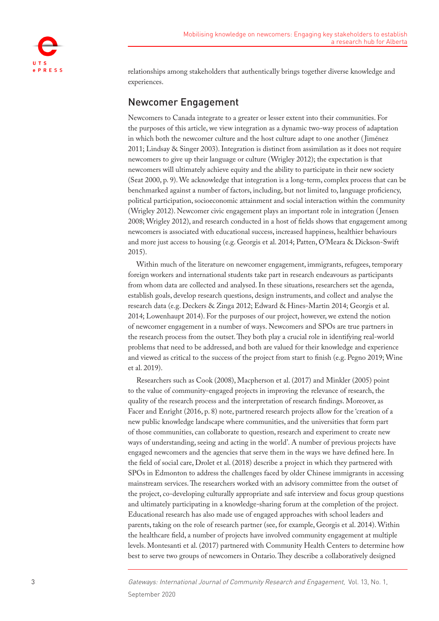

relationships among stakeholders that authentically brings together diverse knowledge and experiences.

# Newcomer Engagement

Newcomers to Canada integrate to a greater or lesser extent into their communities. For the purposes of this article, we view integration as a dynamic two-way process of adaptation in which both the newcomer culture and the host culture adapt to one another ([Jiménez](#page-12-2)  [2011;](#page-12-2) [Lindsay & Singer 2003](#page-12-3)). Integration is distinct from assimilation as it does not require newcomers to give up their language or culture ([Wrigley 2012](#page-14-2)); the expectation is that newcomers will ultimately achieve equity and the ability to participate in their new society ([Seat 2000,](#page-13-6) p. 9). We acknowledge that integration is a long-term, complex process that can be benchmarked against a number of factors, including, but not limited to, language proficiency, political participation, socioeconomic attainment and social interaction within the community ([Wrigley 2012](#page-14-2)). Newcomer civic engagement plays an important role in integration ([Jensen](#page-12-4)  [2008;](#page-12-4) [Wrigley 2012](#page-14-2)), and research conducted in a host of fields shows that engagement among newcomers is associated with educational success, increased happiness, healthier behaviours and more just access to housing (e.g. [Georgis et al. 2014](#page-12-5); [Patten, O'Meara & Dickson-Swift](#page-13-7)  [2015\)](#page-13-7).

Within much of the literature on newcomer engagement, immigrants, refugees, temporary foreign workers and international students take part in research endeavours as participants from whom data are collected and analysed. In these situations, researchers set the agenda, establish goals, develop research questions, design instruments, and collect and analyse the research data (e.g. [Deckers & Zinga 2012](#page-12-6); [Edward & Hines-Martin 2014;](#page-12-7) [Georgis et al.](#page-12-5)  [2014;](#page-12-5) [Lowenhaupt 2014](#page-12-8)). For the purposes of our project, however, we extend the notion of newcomer engagement in a number of ways. Newcomers and SPOs are true partners in the research process from the outset. They both play a crucial role in identifying real-world problems that need to be addressed, and both are valued for their knowledge and experience and viewed as critical to the success of the project from start to finish (e.g. [Pegno 2019;](#page-13-8) [Wine](#page-14-3)  [et al. 2019\)](#page-14-3).

Researchers such as [Cook \(2008\)](#page-12-9), [Macpherson et al. \(2017\)](#page-13-9) and [Minkler \(2005\)](#page-13-10) point to the value of community-engaged projects in improving the relevance of research, the quality of the research process and the interpretation of research findings. Moreover, as Facer and Enright ([2016,](#page-12-10) p. 8) note, partnered research projects allow for the 'creation of a new public knowledge landscape where communities, and the universities that form part of those communities, can collaborate to question, research and experiment to create new ways of understanding, seeing and acting in the world'. A number of previous projects have engaged newcomers and the agencies that serve them in the ways we have defined here. In the field of social care, [Drolet et al. \(2018\)](#page-12-11) describe a project in which they partnered with SPOs in Edmonton to address the challenges faced by older Chinese immigrants in accessing mainstream services. The researchers worked with an advisory committee from the outset of the project, co-developing culturally appropriate and safe interview and focus group questions and ultimately participating in a knowledge-sharing forum at the completion of the project. Educational research has also made use of engaged approaches with school leaders and parents, taking on the role of research partner (see, for example, [Georgis et al. 2014\)](#page-12-5). Within the healthcare field, a number of projects have involved community engagement at multiple levels. [Montesanti et al. \(2017\)](#page-13-11) partnered with Community Health Centers to determine how best to serve two groups of newcomers in Ontario. They describe a collaboratively designed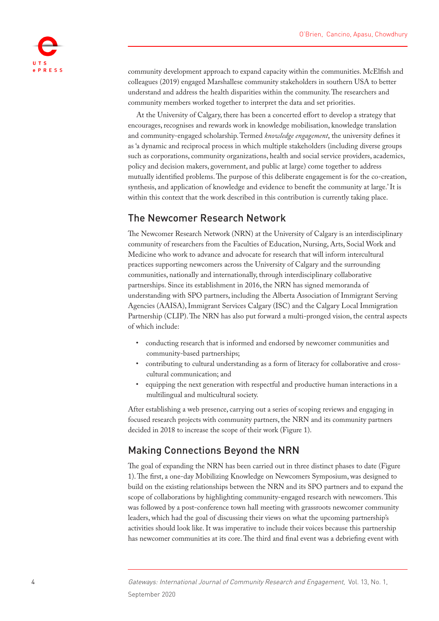

community development approach to expand capacity within the communities. [McElfish and](#page-13-12)  [colleagues \(2019\)](#page-13-12) engaged Marshallese community stakeholders in southern USA to better understand and address the health disparities within the community. The researchers and community members worked together to interpret the data and set priorities.

At the University of Calgary, there has been a concerted effort to develop a strategy that encourages, recognises and rewards work in knowledge mobilisation, knowledge translation and community-engaged scholarship. Termed *knowledge engagement*, the university defines it as 'a dynamic and reciprocal process in which multiple stakeholders (including diverse groups such as corporations, community organizations, health and social service providers, academics, policy and decision makers, government, and public at large) come together to address mutually identified problems. The purpose of this deliberate engagement is for the co-creation, synthesis, and application of knowledge and evidence to benefit the community at large.' It is within this context that the work described in this contribution is currently taking place.

### The Newcomer Research Network

The Newcomer Research Network (NRN) at the University of Calgary is an interdisciplinary community of researchers from the Faculties of Education, Nursing, Arts, Social Work and Medicine who work to advance and advocate for research that will inform intercultural practices supporting newcomers across the University of Calgary and the surrounding communities, nationally and internationally, through interdisciplinary collaborative partnerships. Since its establishment in 2016, the NRN has signed memoranda of understanding with SPO partners, including the Alberta Association of Immigrant Serving Agencies (AAISA), Immigrant Services Calgary (ISC) and the Calgary Local Immigration Partnership (CLIP). The NRN has also put forward a multi-pronged vision, the central aspects of which include:

- conducting research that is informed and endorsed by newcomer communities and community-based partnerships;
- contributing to cultural understanding as a form of literacy for collaborative and crosscultural communication; and
- equipping the next generation with respectful and productive human interactions in a multilingual and multicultural society.

After establishing a web presence, carrying out a series of scoping reviews and engaging in focused research projects with community partners, the NRN and its community partners decided in 2018 to increase the scope of their work [\(Figure 1](#page-4-0)).

### Making Connections Beyond the NRN

The goal of expanding the NRN has been carried out in three distinct phases to date ([Figure](#page-4-0)  [1\)](#page-4-0). The first, a one-day Mobilizing Knowledge on Newcomers Symposium, was designed to build on the existing relationships between the NRN and its SPO partners and to expand the scope of collaborations by highlighting community-engaged research with newcomers. This was followed by a post-conference town hall meeting with grassroots newcomer community leaders, which had the goal of discussing their views on what the upcoming partnership's activities should look like. It was imperative to include their voices because this partnership has newcomer communities at its core. The third and final event was a debriefing event with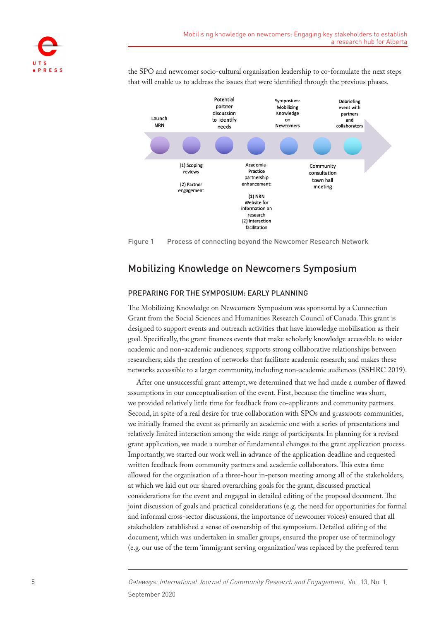

the SPO and newcomer socio-cultural organisation leadership to co-formulate the next steps that will enable us to address the issues that were identified through the previous phases.



<span id="page-4-0"></span>Figure 1 Process of connecting beyond the Newcomer Research Network

# Mobilizing Knowledge on Newcomers Symposium

### PREPARING FOR THE SYMPOSIUM: EARLY PLANNING

The Mobilizing Knowledge on Newcomers Symposium was sponsored by a Connection Grant from the Social Sciences and Humanities Research Council of Canada. This grant is designed to support events and outreach activities that have knowledge mobilisation as their goal. Specifically, the grant finances events that make scholarly knowledge accessible to wider academic and non-academic audiences; supports strong collaborative relationships between researchers; aids the creation of networks that facilitate academic research; and makes these networks accessible to a larger community, including non-academic audiences ([SSHRC 2019](#page-13-13)).

After one unsuccessful grant attempt, we determined that we had made a number of flawed assumptions in our conceptualisation of the event. First, because the timeline was short, we provided relatively little time for feedback from co-applicants and community partners. Second, in spite of a real desire for true collaboration with SPOs and grassroots communities, we initially framed the event as primarily an academic one with a series of presentations and relatively limited interaction among the wide range of participants. In planning for a revised grant application, we made a number of fundamental changes to the grant application process. Importantly, we started our work well in advance of the application deadline and requested written feedback from community partners and academic collaborators. This extra time allowed for the organisation of a three-hour in-person meeting among all of the stakeholders, at which we laid out our shared overarching goals for the grant, discussed practical considerations for the event and engaged in detailed editing of the proposal document. The joint discussion of goals and practical considerations (e.g. the need for opportunities for formal and informal cross-sector discussions, the importance of newcomer voices) ensured that all stakeholders established a sense of ownership of the symposium. Detailed editing of the document, which was undertaken in smaller groups, ensured the proper use of terminology (e.g. our use of the term 'immigrant serving organization' was replaced by the preferred term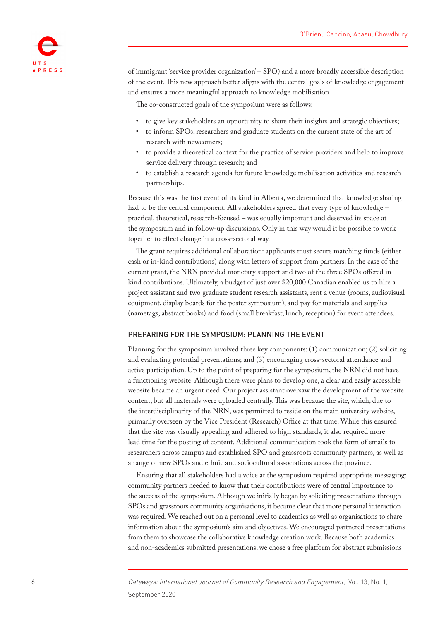

of immigrant 'service provider organization' – SPO) and a more broadly accessible description of the event. This new approach better aligns with the central goals of knowledge engagement and ensures a more meaningful approach to knowledge mobilisation.

The co-constructed goals of the symposium were as follows:

- to give key stakeholders an opportunity to share their insights and strategic objectives;
- to inform SPOs, researchers and graduate students on the current state of the art of research with newcomers;
- to provide a theoretical context for the practice of service providers and help to improve service delivery through research; and
- to establish a research agenda for future knowledge mobilisation activities and research partnerships.

Because this was the first event of its kind in Alberta, we determined that knowledge sharing had to be the central component. All stakeholders agreed that every type of knowledge – practical, theoretical, research-focused – was equally important and deserved its space at the symposium and in follow-up discussions. Only in this way would it be possible to work together to effect change in a cross-sectoral way.

The grant requires additional collaboration: applicants must secure matching funds (either cash or in-kind contributions) along with letters of support from partners. In the case of the current grant, the NRN provided monetary support and two of the three SPOs offered inkind contributions. Ultimately, a budget of just over \$20,000 Canadian enabled us to hire a project assistant and two graduate student research assistants, rent a venue (rooms, audiovisual equipment, display boards for the poster symposium), and pay for materials and supplies (nametags, abstract books) and food (small breakfast, lunch, reception) for event attendees.

#### PREPARING FOR THE SYMPOSIUM: PLANNING THE EVENT

Planning for the symposium involved three key components: (1) communication; (2) soliciting and evaluating potential presentations; and (3) encouraging cross-sectoral attendance and active participation. Up to the point of preparing for the symposium, the NRN did not have a functioning website. Although there were plans to develop one, a clear and easily accessible website became an urgent need. Our project assistant oversaw the development of the website content, but all materials were uploaded centrally. This was because the site, which, due to the interdisciplinarity of the NRN, was permitted to reside on the main university website, primarily overseen by the Vice President (Research) Office at that time. While this ensured that the site was visually appealing and adhered to high standards, it also required more lead time for the posting of content. Additional communication took the form of emails to researchers across campus and established SPO and grassroots community partners, as well as a range of new SPOs and ethnic and sociocultural associations across the province.

Ensuring that all stakeholders had a voice at the symposium required appropriate messaging: community partners needed to know that their contributions were of central importance to the success of the symposium. Although we initially began by soliciting presentations through SPOs and grassroots community organisations, it became clear that more personal interaction was required. We reached out on a personal level to academics as well as organisations to share information about the symposium's aim and objectives. We encouraged partnered presentations from them to showcase the collaborative knowledge creation work. Because both academics and non-academics submitted presentations, we chose a free platform for abstract submissions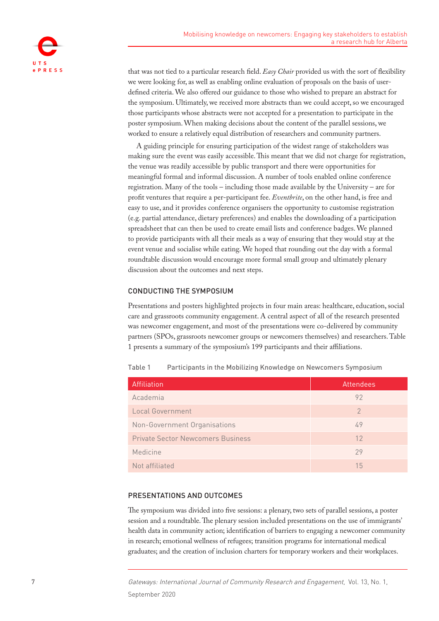

that was not tied to a particular research field. *Easy Chair* provided us with the sort of flexibility we were looking for, as well as enabling online evaluation of proposals on the basis of userdefined criteria. We also offered our guidance to those who wished to prepare an abstract for the symposium. Ultimately, we received more abstracts than we could accept, so we encouraged those participants whose abstracts were not accepted for a presentation to participate in the poster symposium. When making decisions about the content of the parallel sessions, we worked to ensure a relatively equal distribution of researchers and community partners.

A guiding principle for ensuring participation of the widest range of stakeholders was making sure the event was easily accessible. This meant that we did not charge for registration, the venue was readily accessible by public transport and there were opportunities for meaningful formal and informal discussion. A number of tools enabled online conference registration. Many of the tools – including those made available by the University – are for profit ventures that require a per-participant fee. *Eventbrite*, on the other hand, is free and easy to use, and it provides conference organisers the opportunity to customise registration (e.g. partial attendance, dietary preferences) and enables the downloading of a participation spreadsheet that can then be used to create email lists and conference badges. We planned to provide participants with all their meals as a way of ensuring that they would stay at the event venue and socialise while eating. We hoped that rounding out the day with a formal roundtable discussion would encourage more formal small group and ultimately plenary discussion about the outcomes and next steps.

#### CONDUCTING THE SYMPOSIUM

Presentations and posters highlighted projects in four main areas: healthcare, education, social care and grassroots community engagement. A central aspect of all of the research presented was newcomer engagement, and most of the presentations were co-delivered by community partners (SPOs, grassroots newcomer groups or newcomers themselves) and researchers. [Table](#page-6-0)  [1](#page-6-0) presents a summary of the symposium's 199 participants and their affiliations.

| Affiliation                              | Attendees |
|------------------------------------------|-----------|
| Academia                                 | 92        |
| Local Government                         | 2         |
| Non-Government Organisations             | 49        |
| <b>Private Sector Newcomers Business</b> | 12        |
| Medicine                                 | 29        |
| Not affiliated                           | 15        |

<span id="page-6-0"></span>Table 1 Participants in the Mobilizing Knowledge on Newcomers Symposium

### PRESENTATIONS AND OUTCOMES

The symposium was divided into five sessions: a plenary, two sets of parallel sessions, a poster session and a roundtable. The plenary session included presentations on the use of immigrants' health data in community action; identification of barriers to engaging a newcomer community in research; emotional wellness of refugees; transition programs for international medical graduates; and the creation of inclusion charters for temporary workers and their workplaces.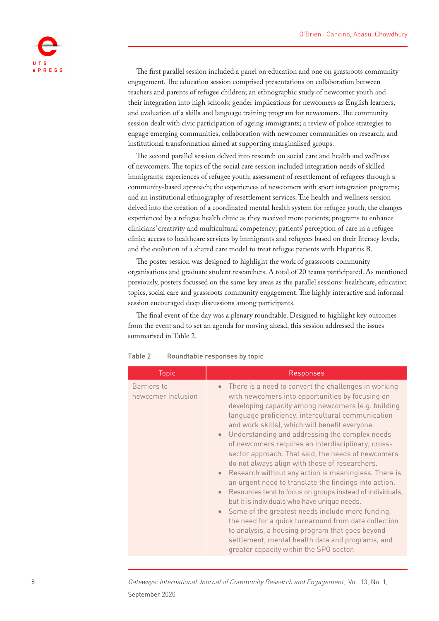

The first parallel session included a panel on education and one on grassroots community engagement. The education session comprised presentations on collaboration between teachers and parents of refugee children; an ethnographic study of newcomer youth and their integration into high schools; gender implications for newcomers as English learners; and evaluation of a skills and language training program for newcomers. The community session dealt with civic participation of ageing immigrants; a review of police strategies to engage emerging communities; collaboration with newcomer communities on research; and institutional transformation aimed at supporting marginalised groups.

The second parallel session delved into research on social care and health and wellness of newcomers. The topics of the social care session included integration needs of skilled immigrants; experiences of refugee youth; assessment of resettlement of refugees through a community-based approach; the experiences of newcomers with sport integration programs; and an institutional ethnography of resettlement services. The health and wellness session delved into the creation of a coordinated mental health system for refugee youth; the changes experienced by a refugee health clinic as they received more patients; programs to enhance clinicians' creativity and multicultural competency; patients' perception of care in a refugee clinic; access to healthcare services by immigrants and refugees based on their literacy levels; and the evolution of a shared care model to treat refugee patients with Hepatitis B.

The poster session was designed to highlight the work of grassroots community organisations and graduate student researchers. A total of 20 teams participated. As mentioned previously, posters focussed on the same key areas as the parallel sessions: healthcare, education topics, social care and grassroots community engagement. The highly interactive and informal session encouraged deep discussions among participants.

The final event of the day was a plenary roundtable. Designed to highlight key outcomes from the event and to set an agenda for moving ahead, this session addressed the issues summarised in [Table 2](#page-7-0).

| <b>Topic</b>                      | Responses                                                                                                                                                                                                                                                                                                                                                                                                                                                                                                                                                                                                                                                                                                                                                                                                                                                                                                                                                                                                                                          |
|-----------------------------------|----------------------------------------------------------------------------------------------------------------------------------------------------------------------------------------------------------------------------------------------------------------------------------------------------------------------------------------------------------------------------------------------------------------------------------------------------------------------------------------------------------------------------------------------------------------------------------------------------------------------------------------------------------------------------------------------------------------------------------------------------------------------------------------------------------------------------------------------------------------------------------------------------------------------------------------------------------------------------------------------------------------------------------------------------|
| Barriers to<br>newcomer inclusion | There is a need to convert the challenges in working<br>$\bullet$<br>with newcomers into opportunities by focusing on<br>developing capacity among newcomers (e.g. building<br>language proficiency, intercultural communication<br>and work skills), which will benefit everyone.<br>Understanding and addressing the complex needs<br>$\bullet$<br>of newcomers requires an interdisciplinary, cross-<br>sector approach. That said, the needs of newcomers<br>do not always align with those of researchers.<br>Research without any action is meaningless. There is<br>$\bullet$<br>an urgent need to translate the findings into action.<br>Resources tend to focus on groups instead of individuals,<br>$\bullet$<br>but it is individuals who have unique needs.<br>Some of the greatest needs include more funding,<br>$\bullet$<br>the need for a quick turnaround from data collection<br>to analysis, a housing program that goes beyond<br>settlement, mental health data and programs, and<br>greater capacity within the SPO sector. |

<span id="page-7-0"></span>Table 2 Roundtable responses by topic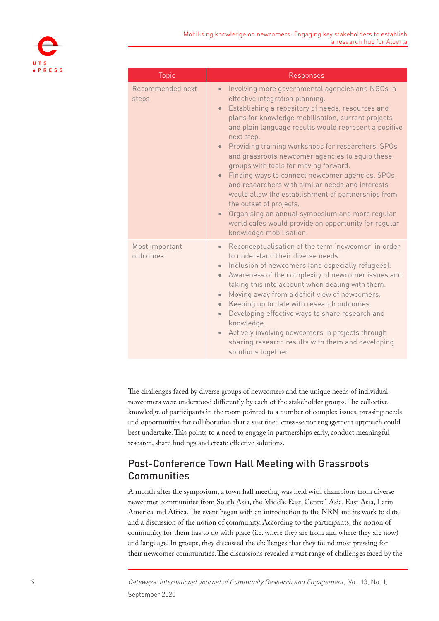

| <b>Topic</b>               | Responses                                                                                                                                                                                                                                                                                                                                                                                                                                                                                                                                                                                                                                                                                                                                                                                                   |
|----------------------------|-------------------------------------------------------------------------------------------------------------------------------------------------------------------------------------------------------------------------------------------------------------------------------------------------------------------------------------------------------------------------------------------------------------------------------------------------------------------------------------------------------------------------------------------------------------------------------------------------------------------------------------------------------------------------------------------------------------------------------------------------------------------------------------------------------------|
| Recommended next<br>steps  | Involving more governmental agencies and NGOs in<br>$\bullet$<br>effective integration planning.<br>Establishing a repository of needs, resources and<br>$\bullet$<br>plans for knowledge mobilisation, current projects<br>and plain language results would represent a positive<br>next step.<br>• Providing training workshops for researchers, SPOs<br>and grassroots newcomer agencies to equip these<br>groups with tools for moving forward.<br>Finding ways to connect newcomer agencies, SPOs<br>$\bullet$<br>and researchers with similar needs and interests<br>would allow the establishment of partnerships from<br>the outset of projects.<br>Organising an annual symposium and more regular<br>$\bullet$<br>world cafés would provide an opportunity for regular<br>knowledge mobilisation. |
| Most important<br>outcomes | Reconceptualisation of the term 'newcomer' in order<br>$\bullet$<br>to understand their diverse needs.<br>Inclusion of newcomers (and especially refugees).<br>$\bullet$<br>Awareness of the complexity of newcomer issues and<br>$\bullet$<br>taking this into account when dealing with them.<br>Moving away from a deficit view of newcomers.<br>$\bullet$<br>Keeping up to date with research outcomes.<br>$\bullet$<br>Developing effective ways to share research and<br>$\bullet$<br>knowledge.<br>Actively involving newcomers in projects through<br>$\bullet$<br>sharing research results with them and developing<br>solutions together.                                                                                                                                                         |

The challenges faced by diverse groups of newcomers and the unique needs of individual newcomers were understood differently by each of the stakeholder groups. The collective knowledge of participants in the room pointed to a number of complex issues, pressing needs and opportunities for collaboration that a sustained cross-sector engagement approach could best undertake. This points to a need to engage in partnerships early, conduct meaningful research, share findings and create effective solutions.

# Post-Conference Town Hall Meeting with Grassroots **Communities**

A month after the symposium, a town hall meeting was held with champions from diverse newcomer communities from South Asia, the Middle East, Central Asia, East Asia, Latin America and Africa. The event began with an introduction to the NRN and its work to date and a discussion of the notion of community. According to the participants, the notion of community for them has to do with place (i.e. where they are from and where they are now) and language. In groups, they discussed the challenges that they found most pressing for their newcomer communities. The discussions revealed a vast range of challenges faced by the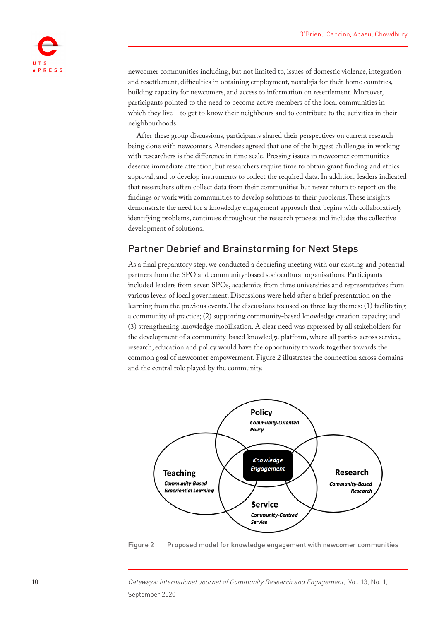

newcomer communities including, but not limited to, issues of domestic violence, integration and resettlement, difficulties in obtaining employment, nostalgia for their home countries, building capacity for newcomers, and access to information on resettlement. Moreover, participants pointed to the need to become active members of the local communities in which they live – to get to know their neighbours and to contribute to the activities in their neighbourhoods.

After these group discussions, participants shared their perspectives on current research being done with newcomers. Attendees agreed that one of the biggest challenges in working with researchers is the difference in time scale. Pressing issues in newcomer communities deserve immediate attention, but researchers require time to obtain grant funding and ethics approval, and to develop instruments to collect the required data. In addition, leaders indicated that researchers often collect data from their communities but never return to report on the findings or work with communities to develop solutions to their problems. These insights demonstrate the need for a knowledge engagement approach that begins with collaboratively identifying problems, continues throughout the research process and includes the collective development of solutions.

### Partner Debrief and Brainstorming for Next Steps

As a final preparatory step, we conducted a debriefing meeting with our existing and potential partners from the SPO and community-based sociocultural organisations. Participants included leaders from seven SPOs, academics from three universities and representatives from various levels of local government. Discussions were held after a brief presentation on the learning from the previous events. The discussions focused on three key themes: (1) facilitating a community of practice; (2) supporting community-based knowledge creation capacity; and (3) strengthening knowledge mobilisation. A clear need was expressed by all stakeholders for the development of a community-based knowledge platform, where all parties across service, research, education and policy would have the opportunity to work together towards the common goal of newcomer empowerment. [Figure 2](#page-9-0) illustrates the connection across domains and the central role played by the community.



<span id="page-9-0"></span>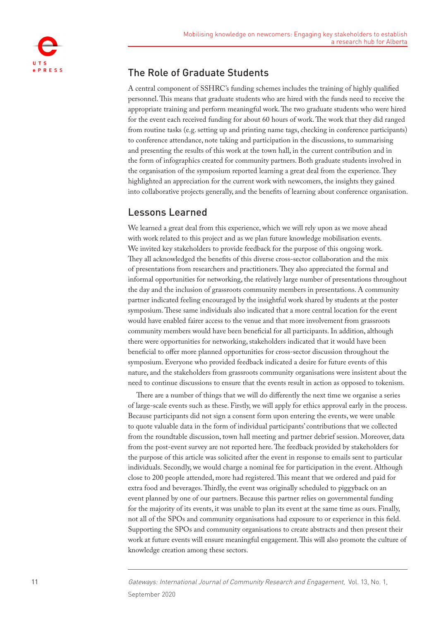

### The Role of Graduate Students

A central component of SSHRC's funding schemes includes the training of highly qualified personnel. This means that graduate students who are hired with the funds need to receive the appropriate training and perform meaningful work. The two graduate students who were hired for the event each received funding for about 60 hours of work. The work that they did ranged from routine tasks (e.g. setting up and printing name tags, checking in conference participants) to conference attendance, note taking and participation in the discussions, to summarising and presenting the results of this work at the town hall, in the current contribution and in the form of infographics created for community partners. Both graduate students involved in the organisation of the symposium reported learning a great deal from the experience. They highlighted an appreciation for the current work with newcomers, the insights they gained into collaborative projects generally, and the benefits of learning about conference organisation.

### Lessons Learned

We learned a great deal from this experience, which we will rely upon as we move ahead with work related to this project and as we plan future knowledge mobilisation events. We invited key stakeholders to provide feedback for the purpose of this ongoing work. They all acknowledged the benefits of this diverse cross-sector collaboration and the mix of presentations from researchers and practitioners. They also appreciated the formal and informal opportunities for networking, the relatively large number of presentations throughout the day and the inclusion of grassroots community members in presentations. A community partner indicated feeling encouraged by the insightful work shared by students at the poster symposium. These same individuals also indicated that a more central location for the event would have enabled fairer access to the venue and that more involvement from grassroots community members would have been beneficial for all participants. In addition, although there were opportunities for networking, stakeholders indicated that it would have been beneficial to offer more planned opportunities for cross-sector discussion throughout the symposium. Everyone who provided feedback indicated a desire for future events of this nature, and the stakeholders from grassroots community organisations were insistent about the need to continue discussions to ensure that the events result in action as opposed to tokenism.

There are a number of things that we will do differently the next time we organise a series of large-scale events such as these. Firstly, we will apply for ethics approval early in the process. Because participants did not sign a consent form upon entering the events, we were unable to quote valuable data in the form of individual participants' contributions that we collected from the roundtable discussion, town hall meeting and partner debrief session. Moreover, data from the post-event survey are not reported here. The feedback provided by stakeholders for the purpose of this article was solicited after the event in response to emails sent to particular individuals. Secondly, we would charge a nominal fee for participation in the event. Although close to 200 people attended, more had registered. This meant that we ordered and paid for extra food and beverages. Thirdly, the event was originally scheduled to piggyback on an event planned by one of our partners. Because this partner relies on governmental funding for the majority of its events, it was unable to plan its event at the same time as ours. Finally, not all of the SPOs and community organisations had exposure to or experience in this field. Supporting the SPOs and community organisations to create abstracts and then present their work at future events will ensure meaningful engagement. This will also promote the culture of knowledge creation among these sectors.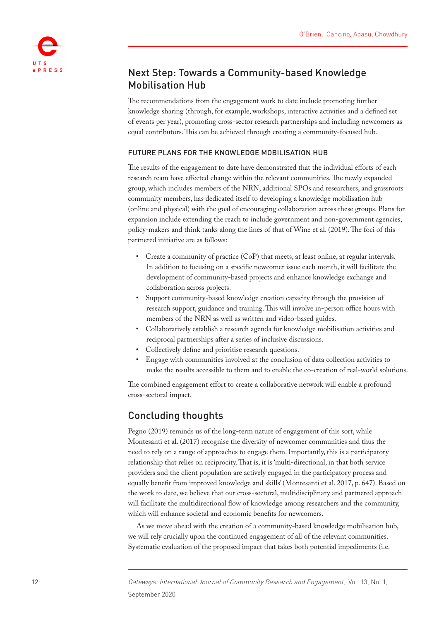

# Next Step: Towards a Community-based Knowledge Mobilisation Hub

The recommendations from the engagement work to date include promoting further knowledge sharing (through, for example, workshops, interactive activities and a defined set of events per year), promoting cross-sector research partnerships and including newcomers as equal contributors. This can be achieved through creating a community-focused hub.

### FUTURE PLANS FOR THE KNOWLEDGE MOBILISATION HUB

The results of the engagement to date have demonstrated that the individual efforts of each research team have effected change within the relevant communities. The newly expanded group, which includes members of the NRN, additional SPOs and researchers, and grassroots community members, has dedicated itself to developing a knowledge mobilisation hub (online and physical) with the goal of encouraging collaboration across these groups. Plans for expansion include extending the reach to include government and non-government agencies, policy-makers and think tanks along the lines of that of [Wine et al. \(2019\).](#page-14-3) The foci of this partnered initiative are as follows:

- Create a community of practice (CoP) that meets, at least online, at regular intervals. In addition to focusing on a specific newcomer issue each month, it will facilitate the development of community-based projects and enhance knowledge exchange and collaboration across projects.
- Support community-based knowledge creation capacity through the provision of research support, guidance and training. This will involve in-person office hours with members of the NRN as well as written and video-based guides.
- Collaboratively establish a research agenda for knowledge mobilisation activities and reciprocal partnerships after a series of inclusive discussions.
- Collectively define and prioritise research questions.
- Engage with communities involved at the conclusion of data collection activities to make the results accessible to them and to enable the co-creation of real-world solutions.

The combined engagement effort to create a collaborative network will enable a profound cross-sectoral impact.

### Concluding thoughts

[Pegno \(2019\)](#page-13-8) reminds us of the long-term nature of engagement of this sort, while [Montesanti et al. \(2017](#page-13-11)) recognise the diversity of newcomer communities and thus the need to rely on a range of approaches to engage them. Importantly, this is a participatory relationship that relies on reciprocity. That is, it is 'multi-directional, in that both service providers and the client population are actively engaged in the participatory process and equally benefit from improved knowledge and skills' ([Montesanti et al. 2017,](#page-13-11) p. 647). Based on the work to date, we believe that our cross-sectoral, multidisciplinary and partnered approach will facilitate the multidirectional flow of knowledge among researchers and the community, which will enhance societal and economic benefits for newcomers.

As we move ahead with the creation of a community-based knowledge mobilisation hub, we will rely crucially upon the continued engagement of all of the relevant communities. Systematic evaluation of the proposed impact that takes both potential impediments (i.e.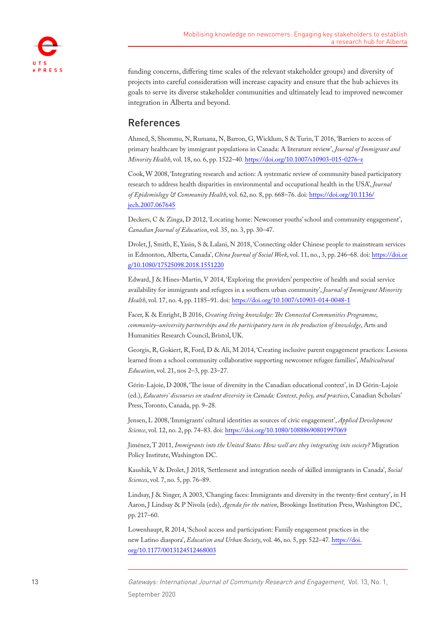

funding concerns, differing time scales of the relevant stakeholder groups) and diversity of projects into careful consideration will increase capacity and ensure that the hub achieves its goals to serve its diverse stakeholder communities and ultimately lead to improved newcomer integration in Alberta and beyond.

# References

Ahmed, S, Shommu, N, Rumana, N, Barron, G, Wicklum, S & Turin, T 2016, 'Barriers to access of primary healthcare by immigrant populations in Canada: A literature review', *Journal of Immigrant and Minority Health*, vol. 18, no. 6, pp. 1522–40.<https://doi.org/10.1007/s10903-015-0276-z>

<span id="page-12-9"></span>Cook, W 2008, 'Integrating research and action: A systematic review of community based participatory research to address health disparities in environmental and occupational health in the USA', *Journal of Epidemiology & Community Health*, vol. 62, no. 8, pp. 668–76. doi: [https://doi.org/10.1136/](https://doi.org/10.1136/jech.2007.067645) [jech.2007.067645](https://doi.org/10.1136/jech.2007.067645)

<span id="page-12-6"></span>Deckers, C & Zinga, D 2012, 'Locating home: Newcomer youths' school and community engagement', *Canadian Journal of Education*, vol. 35, no. 3, pp. 30–47.

<span id="page-12-11"></span>Drolet, J, Smith, E, Yasin, S & Lalani, N 2018, 'Connecting older Chinese people to mainstream services in Edmonton, Alberta, Canada', *China Journal of Social Work*, vol. 11, no., 3, pp. 246–68. doi: [https://doi.or](https://doi.org/10.1080/17525098.2018.1551220) [g/10.1080/17525098.2018.1551220](https://doi.org/10.1080/17525098.2018.1551220)

<span id="page-12-7"></span>[Edward, J & Hines-Martin, V 2014](#page-12-7), 'Exploring the providers' perspective of health and social service availability for immigrants and refugees in a southern urban community', *Journal of Immigrant Minority Health*, vol. 17, no. 4, pp. 1185–91. doi:<https://doi.org/10.1007/s10903-014-0048-1>

<span id="page-12-10"></span>Facer, K & Enright, B 2016, *Creating living knowledge: The Connected Communities Programme*, *community–university partnerships and the participatory turn in the production of knowledge*, Arts and Humanities Research Council, Bristol, UK.

<span id="page-12-5"></span>Georgis, R, Gokiert, R, Ford, D & Ali, M 2014, 'Creating inclusive parent engagement practices: Lessons learned from a school community collaborative supporting newcomer refugee families', *Multicultural Education*, vol. 21, nos 2–3, pp. 23–27.

<span id="page-12-0"></span>[Gérin-Lajoie, D 2008](#page-12-0), 'The issue of diversity in the Canadian educational context', in D Gérin-Lajoie (ed.), *Educators' discourses on student diversity in Canada: Context, policy, and practices*, Canadian Scholars' Press, Toronto, Canada, pp. 9–28.

<span id="page-12-4"></span>Jensen, L 2008, 'Immigrants' cultural identities as sources of civic engagement', *Applied Development Science*, vol. 12, no. 2, pp. 74–83. doi:<https://doi.org/10.1080/10888690801997069>

<span id="page-12-2"></span>Jiménez, T 2011, *Immigrants into the United States: How well are they integrating into society?* Migration Policy Institute, Washington DC.

<span id="page-12-1"></span>Kaushik, V & Drolet, J 2018, 'Settlement and integration needs of skilled immigrants in Canada', *Social Sciences*, vol. 7, no. 5, pp. 76–89.

<span id="page-12-3"></span>Lindsay, J & Singer, A 2003, 'Changing faces: Immigrants and diversity in the twenty-first century', in H Aaron, J Lindsay & P Nivola (eds), *Agenda for the nation*, Brookings Institution Press, Washington DC, pp. 217–60.

<span id="page-12-8"></span>Lowenhaupt, R 2014, 'School access and participation: Family engagement practices in the new Latino diaspora', *Education and Urban Society*, vol. 46, no. 5, pp. 522–47*.* [https://doi.](https://doi.org/10.1177/0013124512468003) [org/10.1177/0013124512468003](https://doi.org/10.1177/0013124512468003)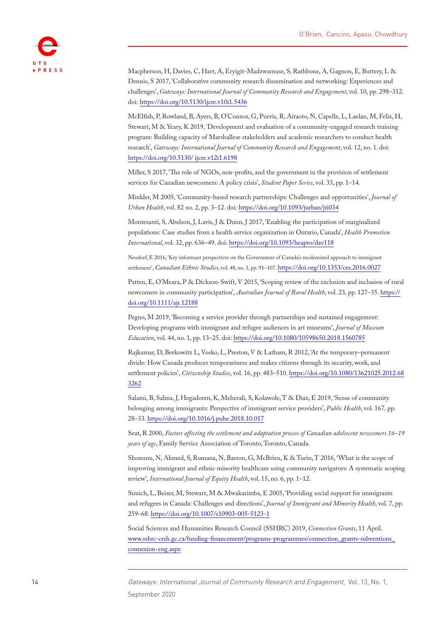

<span id="page-13-9"></span>Macpherson, H, Davies, C, Hart, A, Eryigit-Madzwamuse, S, Rathbone, A, Gagnon, E, Buttery, L & Dennis, S 2017, 'Collaborative community research dissemination and networking: Experiences and challenges', *Gateways: International Journal of Community Research and Engagement*, vol. 10, pp. 298–312. doi:<https://doi.org/10.5130/ijcre.v10i1.5436>

<span id="page-13-12"></span>McElfish, P, Rowland, B, Ayers, B, O'Connor, G, Purvis, R, Aitaoto, N, Capelle, L, Laelan, M, Felix, H, Stewart, M & Yeary, K 2019, 'Development and evaluation of a community-engaged research training program: Building capacity of Marshallese stakeholders and academic researchers to conduct health research', *Gateways: International Journal of Community Research and Engagement*, vol. 12, no. 1. doi: [https://doi.org/10.5130/ ijcre.v12i1.6198](https://doi.org/10.5130/%20ijcre.v12i1.6198)

<span id="page-13-3"></span>Miller, S 2017, 'The role of NGOs, non-profits, and the government in the provision of settlement services for Canadian newcomers: A policy crisis', *Student Paper Series*, vol. 33, pp. 1–14.

<span id="page-13-10"></span>Minkler, M 2005, 'Community-based research partnerships: Challenges and opportunities', *Journal of Urban Health*, vol. 82 no. 2, pp. 3–12. doi: <https://doi.org/10.1093/jurban/jti034>

<span id="page-13-11"></span>Montesanti, S, Abelson, J, Lavis, J & Dunn, J 2017, 'Enabling the participation of marginalized populations: Case studies from a health service organization in Ontario, Canada', *Health Promotion International*, vol. 32, pp. 636–49. doi: <https://doi.org/10.1093/heapro/dav118>

<span id="page-13-1"></span>Neudorf, E 2016, 'Key informant perspectives on the Government of Canada's modernized approach to immigrant settlement', *Canadian Ethnic Studies*, vol. 48, no. 3, pp. 91–107. <https://doi.org/10.1353/ces.2016.0027>

<span id="page-13-7"></span>[Patten, E, O'Meara, P & Dickson-Swift, V 2015](#page-13-7), 'Scoping review of the exclusion and inclusion of rural newcomers in community participation', *Australian Journal of Rural Health*, vol. 23*,* pp. 127–35. [https://](https://doi.org/10.1111/ajr.12188) [doi.org/10.1111/ajr.12188](https://doi.org/10.1111/ajr.12188)

<span id="page-13-8"></span>Pegno, M 2019, 'Becoming a service provider through partnerships and sustained engagement: Developing programs with immigrant and refugee audiences in art museums', *Journal of Museum Education*, vol. 44, no. 1, pp. 13–25. doi: <https://doi.org/10.1080/10598650.2018.1560785>

<span id="page-13-4"></span>[Rajkumar, D, Berkowitz L, Vosko, L, Preston, V & Latham, R 2012](#page-13-4), 'At the temporary–permanent divide: How Canada produces temporariness and makes citizens through its security, work, and settlement policies', *Citizenship Studies*, vol. 16, pp. 483–510. [https://doi.org/10.1080/13621025.2012.68](https://doi.org/10.1080/13621025.2012.683262) [3262](https://doi.org/10.1080/13621025.2012.683262)

<span id="page-13-2"></span>Salami, B, Salma, J, Hegadoren, K, Meherali, S, Kolawole, T & Diaz, E 2019, 'Sense of community belonging among immigrants: Perspective of immigrant service providers', *Public Health*, vol. 167*,* pp. 28–33.<https://doi.org/10.1016/j.puhe.2018.10.017>

<span id="page-13-6"></span>Seat, R 2000, *Factors affecting the settlement and adaptation process of Canadian adolescent newcomers 16–19 years of age*, Family Service Association of Toronto, Toronto, Canada.

<span id="page-13-5"></span>Shommu, N, Ahmed, S, Rumana, N, Barron, G, McBrien, K & Turin, T 2016, 'What is the scope of improving immigrant and ethnic minority healthcare using community navigators: A systematic scoping review', *International Journal of Equity Health*, vol. 15, no. 6, pp. 1–12.

<span id="page-13-0"></span>Simich, L, Beiser, M, Stewart, M & Mwakarimba, E 2005, 'Providing social support for immigrants and refugees in Canada: Challenges and directions', *Journal of Immigrant and Minority Health*, vol. 7, pp. 259–68. <https://doi.org/10.1007/s10903-005-5123-1>

<span id="page-13-13"></span>[Social Sciences and Humanities Research Council \(SSHRC\) 2019](#page-13-13), *Connection Grants*, 11 April. [www.sshrc-crsh.gc.ca/funding-financement/programs-programmes/connection\\_grants-subventions\\_](http://www.sshrc-crsh.gc.ca/funding-financement/programs-programmes/connection_grants-subventions_connexion-eng.aspx) [connexion-eng.aspx](http://www.sshrc-crsh.gc.ca/funding-financement/programs-programmes/connection_grants-subventions_connexion-eng.aspx)